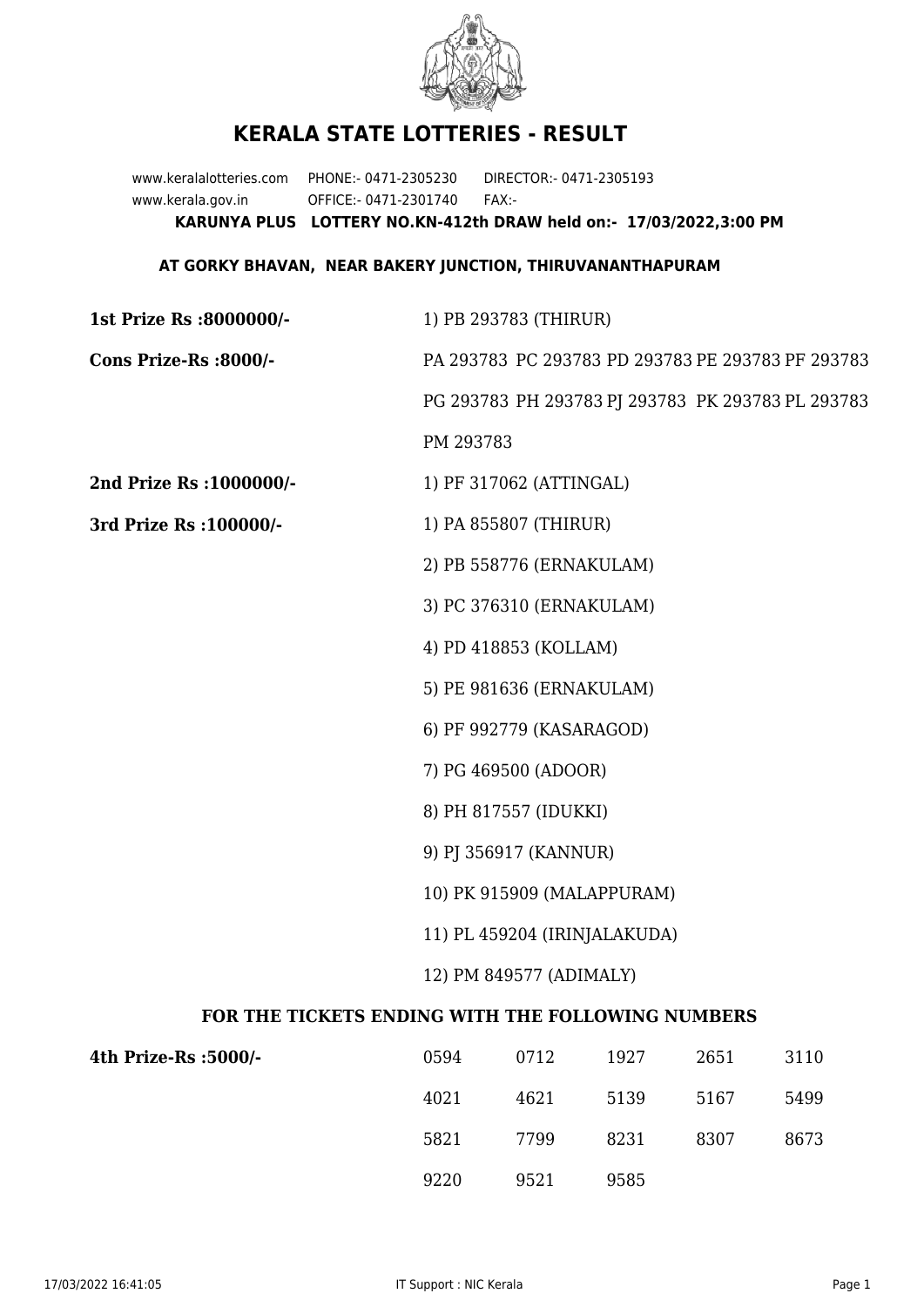

## **KERALA STATE LOTTERIES - RESULT**

www.keralalotteries.com PHONE:- 0471-2305230 DIRECTOR:- 0471-2305193 www.kerala.gov.in OFFICE:- 0471-2301740 FAX:- **KARUNYA PLUS LOTTERY NO.KN-412th DRAW held on:- 17/03/2022,3:00 PM**

## **AT GORKY BHAVAN, NEAR BAKERY JUNCTION, THIRUVANANTHAPURAM**

| 1st Prize Rs :8000000/-                           | 1) PB 293783 (THIRUR)                             |  |  |
|---------------------------------------------------|---------------------------------------------------|--|--|
| Cons Prize-Rs :8000/-                             | PA 293783 PC 293783 PD 293783 PE 293783 PF 293783 |  |  |
|                                                   | PG 293783 PH 293783 PJ 293783 PK 293783 PL 293783 |  |  |
|                                                   | PM 293783                                         |  |  |
| 2nd Prize Rs : 1000000/-                          | 1) PF 317062 (ATTINGAL)                           |  |  |
| 3rd Prize Rs : 100000/-                           | 1) PA 855807 (THIRUR)                             |  |  |
|                                                   | 2) PB 558776 (ERNAKULAM)                          |  |  |
|                                                   | 3) PC 376310 (ERNAKULAM)                          |  |  |
|                                                   | 4) PD 418853 (KOLLAM)                             |  |  |
|                                                   | 5) PE 981636 (ERNAKULAM)                          |  |  |
|                                                   | 6) PF 992779 (KASARAGOD)                          |  |  |
|                                                   | 7) PG 469500 (ADOOR)                              |  |  |
|                                                   | 8) PH 817557 (IDUKKI)                             |  |  |
|                                                   | 9) PJ 356917 (KANNUR)                             |  |  |
|                                                   | 10) PK 915909 (MALAPPURAM)                        |  |  |
|                                                   | 11) PL 459204 (IRINJALAKUDA)                      |  |  |
|                                                   | 12) PM 849577 (ADIMALY)                           |  |  |
| FOR THE TICKETS ENDING WITH THE FOLLOWING NUMBERS |                                                   |  |  |

| 4th Prize-Rs :5000/- | 0594 | 0712 | 1927 | 2651 | 3110 |
|----------------------|------|------|------|------|------|
|                      | 4021 | 4621 | 5139 | 5167 | 5499 |
|                      | 5821 | 7799 | 8231 | 8307 | 8673 |
|                      | 9220 | 9521 | 9585 |      |      |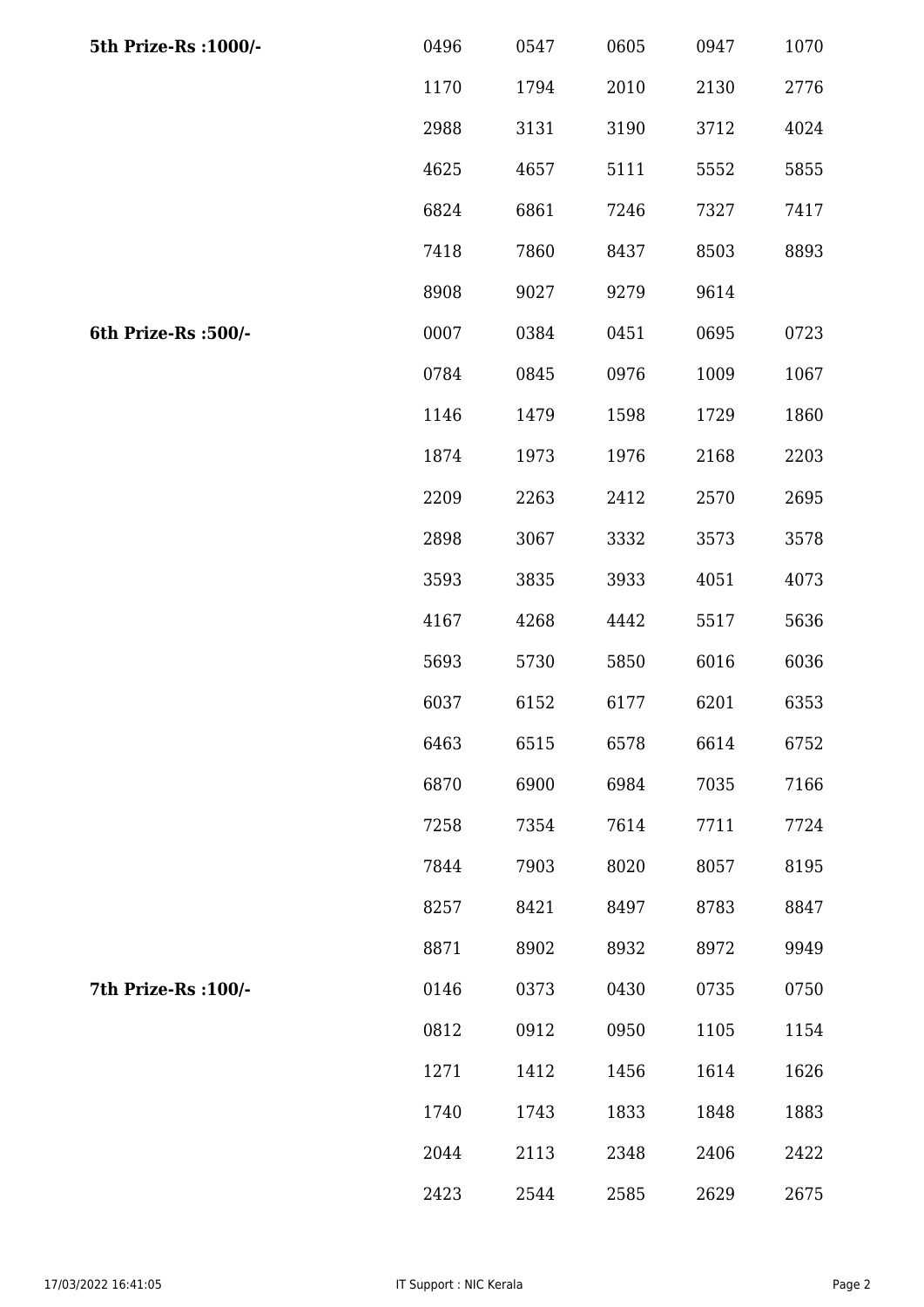| 5th Prize-Rs : 1000/- | 0496 | 0547 | 0605 | 0947 | 1070 |
|-----------------------|------|------|------|------|------|
|                       | 1170 | 1794 | 2010 | 2130 | 2776 |
|                       | 2988 | 3131 | 3190 | 3712 | 4024 |
|                       | 4625 | 4657 | 5111 | 5552 | 5855 |
|                       | 6824 | 6861 | 7246 | 7327 | 7417 |
|                       | 7418 | 7860 | 8437 | 8503 | 8893 |
|                       | 8908 | 9027 | 9279 | 9614 |      |
| 6th Prize-Rs :500/-   | 0007 | 0384 | 0451 | 0695 | 0723 |
|                       | 0784 | 0845 | 0976 | 1009 | 1067 |
|                       | 1146 | 1479 | 1598 | 1729 | 1860 |
|                       | 1874 | 1973 | 1976 | 2168 | 2203 |
|                       | 2209 | 2263 | 2412 | 2570 | 2695 |
|                       | 2898 | 3067 | 3332 | 3573 | 3578 |
|                       | 3593 | 3835 | 3933 | 4051 | 4073 |
|                       | 4167 | 4268 | 4442 | 5517 | 5636 |
|                       | 5693 | 5730 | 5850 | 6016 | 6036 |
|                       | 6037 | 6152 | 6177 | 6201 | 6353 |
|                       | 6463 | 6515 | 6578 | 6614 | 6752 |
|                       | 6870 | 6900 | 6984 | 7035 | 7166 |
|                       | 7258 | 7354 | 7614 | 7711 | 7724 |
|                       | 7844 | 7903 | 8020 | 8057 | 8195 |
|                       | 8257 | 8421 | 8497 | 8783 | 8847 |
|                       | 8871 | 8902 | 8932 | 8972 | 9949 |
| 7th Prize-Rs : 100/-  | 0146 | 0373 | 0430 | 0735 | 0750 |
|                       | 0812 | 0912 | 0950 | 1105 | 1154 |
|                       | 1271 | 1412 | 1456 | 1614 | 1626 |
|                       | 1740 | 1743 | 1833 | 1848 | 1883 |
|                       | 2044 | 2113 | 2348 | 2406 | 2422 |
|                       | 2423 | 2544 | 2585 | 2629 | 2675 |